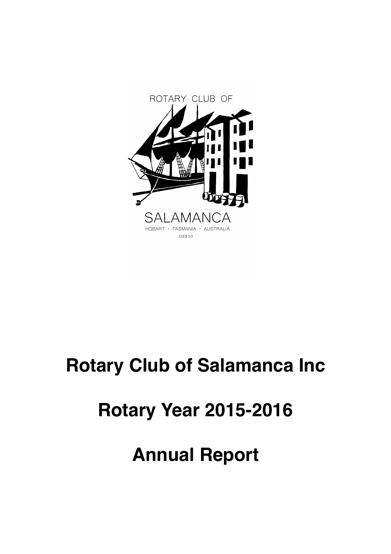

# **Rotary Club of Salamanca Inc**

# **Rotary Year 2015-2016**

# **Annual Report**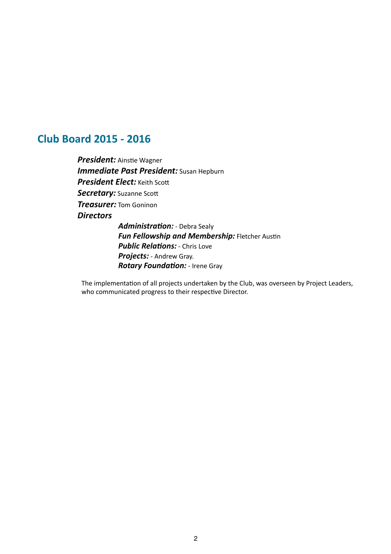# **Club Board 2015 - 2016**

**President:** Ainstie Wagner *Immediate Past President:* Susan Hepburn **President Elect:** Keith Scott Secretary: Suzanne Scott *Treasurer:* Tom Goninon *Directors*  Administration: - Debra Sealy

**Fun Fellowship and Membership:** Fletcher Austin **Public Relations:** - Chris Love **Projects:** - Andrew Gray. *Rotary Foundation:* - Irene Gray

The implementation of all projects undertaken by the Club, was overseen by Project Leaders, who communicated progress to their respective Director.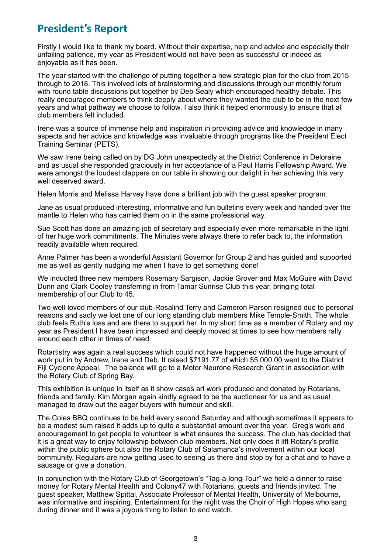# **President's Report**

Firstly I would like to thank my board. Without their expertise, help and advice and especially their unfailing patience, my year as President would not have been as successful or indeed as enjoyable as it has been.

The year started with the challenge of putting together a new strategic plan for the club from 2015 through to 2018. This involved lots of brainstorming and discussions through our monthly forum with round table discussions put together by Deb Sealy which encouraged healthy debate. This really encouraged members to think deeply about where they wanted the club to be in the next few years and what pathway we choose to follow. I also think it helped enormously to ensure that all club members felt included.

Irene was a source of immense help and inspiration in providing advice and knowledge in many aspects and her advice and knowledge was invaluable through programs like the President Elect Training Seminar (PETS).

We saw Irene being called on by DG John unexpectedly at the District Conference in Deloraine and as usual she responded graciously in her acceptance of a Paul Harris Fellowship Award. We were amongst the loudest clappers on our table in showing our delight in her achieving this very well deserved award.

Helen Morris and Melissa Harvey have done a brilliant job with the guest speaker program.

Jane as usual produced interesting, informative and fun bulletins every week and handed over the mantle to Helen who has carried them on in the same professional way.

Sue Scott has done an amazing job of secretary and especially even more remarkable in the light of her huge work commitments. The Minutes were always there to refer back to, the information readily available when required.

Anne Palmer has been a wonderful Assistant Governor for Group 2 and has guided and supported me as well as gently nudging me when I have to get something done!

We inducted three new members Rosemary Sargison, Jackie Grover and Max McGuire with David Dunn and Clark Cooley transferring in from Tamar Sunrise Club this year, bringing total membership of our Club to 45.

Two well-loved members of our club-Rosalind Terry and Cameron Parson resigned due to personal reasons and sadly we lost one of our long standing club members Mike Temple-Smith. The whole club feels Ruth's loss and are there to support her. In my short time as a member of Rotary and my year as President I have been impressed and deeply moved at times to see how members rally around each other in times of need.

Rotartistry was again a real success which could not have happened without the huge amount of work put in by Andrew, Irene and Deb. It raised \$7191.77 of which \$5,000.00 went to the District Fiji Cyclone Appeal. The balance will go to a Motor Neurone Research Grant in association with the Rotary Club of Spring Bay.

This exhibition is unique in itself as it show cases art work produced and donated by Rotarians, friends and family. Kim Morgan again kindly agreed to be the auctioneer for us and as usual managed to draw out the eager buyers with humour and skill.

The Coles BBQ continues to be held every second Saturday and although sometimes it appears to be a modest sum raised it adds up to quite a substantial amount over the year. Greg's work and encouragement to get people to volunteer is what ensures the success. The club has decided that it is a great way to enjoy fellowship between club members. Not only does it lift Rotary's profile within the public sphere but also the Rotary Club of Salamanca's involvement within our local community. Regulars are now getting used to seeing us there and stop by for a chat and to have a sausage or give a donation.

In conjunction with the Rotary Club of Georgetown's "Tag-a-long-Tour" we held a dinner to raise money for Rotary Mental Health and Colony47 with Rotarians, guests and friends invited. The guest speaker, Matthew Spittal, Associate Professor of Mental Health, University of Melbourne, was informative and inspiring. Entertainment for the night was the Choir of High Hopes who sang during dinner and it was a joyous thing to listen to and watch.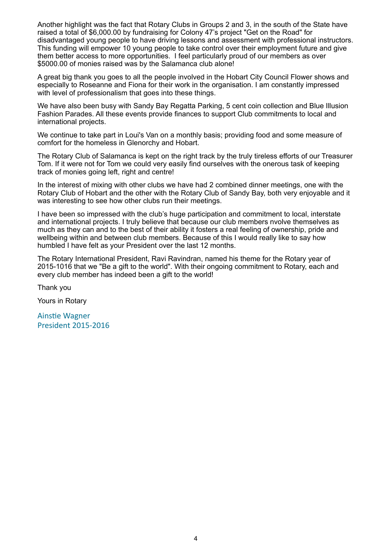Another highlight was the fact that Rotary Clubs in Groups 2 and 3, in the south of the State have raised a total of \$6,000.00 by fundraising for Colony 47's project "Get on the Road" for disadvantaged young people to have driving lessons and assessment with professional instructors. This funding will empower 10 young people to take control over their employment future and give them better access to more opportunities. I feel particularly proud of our members as over \$5000.00 of monies raised was by the Salamanca club alone!

A great big thank you goes to all the people involved in the Hobart City Council Flower shows and especially to Roseanne and Fiona for their work in the organisation. I am constantly impressed with level of professionalism that goes into these things.

We have also been busy with Sandy Bay Regatta Parking, 5 cent coin collection and Blue Illusion Fashion Parades. All these events provide finances to support Club commitments to local and international projects.

We continue to take part in Loui's Van on a monthly basis; providing food and some measure of comfort for the homeless in Glenorchy and Hobart.

The Rotary Club of Salamanca is kept on the right track by the truly tireless efforts of our Treasurer Tom. If it were not for Tom we could very easily find ourselves with the onerous task of keeping track of monies going left, right and centre!

In the interest of mixing with other clubs we have had 2 combined dinner meetings, one with the Rotary Club of Hobart and the other with the Rotary Club of Sandy Bay, both very enjoyable and it was interesting to see how other clubs run their meetings.

I have been so impressed with the club's huge participation and commitment to local, interstate and international projects. I truly believe that because our club members nvolve themselves as much as they can and to the best of their ability it fosters a real feeling of ownership, pride and wellbeing within and between club members. Because of this I would really like to say how humbled I have felt as your President over the last 12 months.

The Rotary International President, Ravi Ravindran, named his theme for the Rotary year of 2015-1016 that we "Be a gift to the world". With their ongoing commitment to Rotary, each and every club member has indeed been a gift to the world!

Thank you

Yours in Rotary

**Ainstie Wagner** President 2015-2016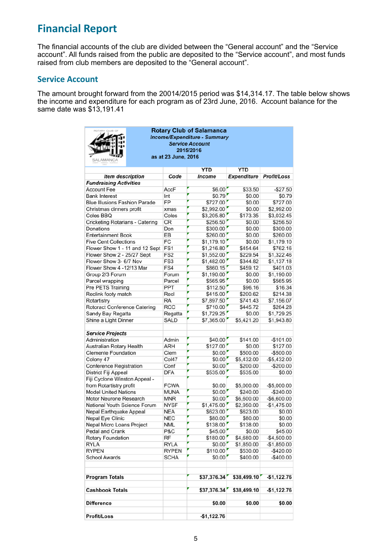# **Financial Report**

The financial accounts of the club are divided between the "General account" and the "Service account". All funds raised from the public are deposited to the "Service account", and most funds raised from club members are deposited to the "General account".

## **Service Account**

The amount brought forward from the 20014/2015 period was \$14,314.17. The table below shows the income and expenditure for each program as of 23rd June, 2016. Account balance for the same date was \$13,191.41

| <b>Rotary Club of Salamanca</b><br><b>Income/Expenditure - Summary</b><br><b>Service Account</b><br>2015/2016<br>as at 23 June, 2016<br>SALAMANCA |                 |  |               |                    |              |  |  |  |
|---------------------------------------------------------------------------------------------------------------------------------------------------|-----------------|--|---------------|--------------------|--------------|--|--|--|
|                                                                                                                                                   |                 |  | YTD           | YTD                |              |  |  |  |
| <b>Item description</b>                                                                                                                           | Code            |  | <b>Income</b> | <b>Expenditure</b> | Profit/Loss  |  |  |  |
| <b>Fundraising Activities</b>                                                                                                                     |                 |  |               |                    |              |  |  |  |
| <b>Account Fee</b>                                                                                                                                | AccF            |  | \$6.00'       | \$33.50            | $-$27.50$    |  |  |  |
| <b>Bank Interest</b>                                                                                                                              | Int             |  | \$0.79'       | \$0.00             | \$0.79       |  |  |  |
| <b>Blue Illusions Fashion Parade</b>                                                                                                              | FP              |  | \$727.00      | \$0.00             | \$727.00     |  |  |  |
| Christmas dinners profit                                                                                                                          | xmas            |  | \$2,992.00    | \$0.00             | \$2,992.00   |  |  |  |
| Coles BBQ                                                                                                                                         | Coles           |  | \$3,205.80    | \$173.35           | \$3,032.45   |  |  |  |
| Cricketing Rotarians - Catering                                                                                                                   | CR              |  | \$256.50      | \$0.00             | \$256.50     |  |  |  |
| Donations                                                                                                                                         | Don             |  | \$300.00      | \$0.00             | \$300.00     |  |  |  |
| <b>Entertainment Book</b>                                                                                                                         | EB              |  | \$260.00      | \$0.00             | \$260.00     |  |  |  |
| <b>Five Cent Collections</b>                                                                                                                      | FC              |  | \$1,179.10    | \$0.00             | \$1,179.10   |  |  |  |
| Flower Show 1 - 11 and 12 Sept                                                                                                                    | FS <sub>1</sub> |  | \$1,216.80    | \$454.64           | \$762.16     |  |  |  |
| Flower Show 2 - 25/27 Sept                                                                                                                        | FS <sub>2</sub> |  | \$1,552.00    | \$229.54           | \$1,322.46   |  |  |  |
| Flower Show 3- 6/7 Nov                                                                                                                            | FS3             |  | \$1,482.00    | \$344.82           | \$1,137.18   |  |  |  |
| Flower Show 4 -12/13 Mar                                                                                                                          | FS4             |  | \$860.15      | \$459.12           | \$401.03     |  |  |  |
| Group 2/3 Forum                                                                                                                                   | Forum           |  | \$1,190.00    | \$0.00             | \$1,190.00   |  |  |  |
| Parcel wrapping                                                                                                                                   | Parcel          |  | \$565.95      | \$0.00             | \$565.95     |  |  |  |
| Pre PETS Training                                                                                                                                 | <b>PPT</b>      |  | \$112.50      | \$96.16            | \$16.34      |  |  |  |
| Reclink footy match                                                                                                                               | Recl            |  | \$415.00      | \$200.62           | \$214.38     |  |  |  |
| Rotartistry                                                                                                                                       | <b>RA</b>       |  | \$7,897.50    | \$741.43           | \$7,156.07   |  |  |  |
| Rotoract Conference Catering                                                                                                                      | <b>RCC</b>      |  | \$710.00      | \$445.72           | \$264.28     |  |  |  |
| Sandy Bay Regatta                                                                                                                                 | Regatta         |  | \$1,729.25    | \$0.00             | \$1,729.25   |  |  |  |
| Shine a Light Dinner                                                                                                                              | <b>SALD</b>     |  | \$7,365.00    | \$5,421.20         | \$1,943.80   |  |  |  |
| <b>Service Projects</b>                                                                                                                           |                 |  |               |                    |              |  |  |  |
| Administration                                                                                                                                    | Admin           |  | \$40.00       | \$141.00           | $-$101.00$   |  |  |  |
| Australian Rotary Health                                                                                                                          | ARH             |  | \$127.00      | \$0.00             | \$127.00     |  |  |  |
| <b>Clemente Foundation</b>                                                                                                                        | Clem            |  | \$0.00'       | \$500.00           | $-$ \$500.00 |  |  |  |
| Colony 47                                                                                                                                         | Col47           |  | \$0.00'       | \$5,432.00         | $-$5,432.00$ |  |  |  |
| <b>Conference Registration</b>                                                                                                                    | Conf            |  | \$0.00        | \$200.00           | $-$200.00$   |  |  |  |
| District Fiji Appeal                                                                                                                              | <b>DFA</b>      |  | \$535.00      | \$535.00           | \$0.00       |  |  |  |
| Fiji Cyclone Winston Appeal -                                                                                                                     |                 |  |               |                    |              |  |  |  |
| from Rotartistry profit                                                                                                                           | <b>FCWA</b>     |  | \$0.00        | \$5,000.00         | $-$5,000.00$ |  |  |  |
| <b>Model United Nations</b>                                                                                                                       | MUNA            |  | \$0.00'       | \$240.00           | $-$ \$240.00 |  |  |  |
| Motor Neurone Research                                                                                                                            | <b>MNR</b>      |  | \$0.00'       | \$6,600.00         | $-$6,600.00$ |  |  |  |
| National Youth Science Forum                                                                                                                      | <b>NYSF</b>     |  | \$1,475.00    | \$2,950.00         | $-$1,475.00$ |  |  |  |
| Nepal Earthquake Appeal                                                                                                                           | <b>NEA</b>      |  | \$623.00      | \$623.00           | \$0.00       |  |  |  |
| Nepal Eye Clinic                                                                                                                                  | <b>NEC</b>      |  | \$80.00       | \$80.00            | \$0.00       |  |  |  |
| Nepal Micro Loans Project                                                                                                                         | NML             |  | \$138.00      | \$138.00           | \$0.00       |  |  |  |
| Pedal and Crank                                                                                                                                   | P&C             |  | \$45.00       | \$0.00             | \$45.00      |  |  |  |
| <b>Rotary Foundation</b>                                                                                                                          | RF              |  | \$180.00      | \$4,680.00         | $-$4,500.00$ |  |  |  |
| <b>RYLA</b>                                                                                                                                       | RYLA            |  | \$0.00        | \$1,850.00         | $-$1,850.00$ |  |  |  |
| <b>RYPEN</b>                                                                                                                                      | <b>RYPEN</b>    |  | \$110.00      | \$530.00           | $-$ \$420.00 |  |  |  |
| <b>School Awards</b>                                                                                                                              | <b>SCHA</b>     |  | \$0.00'       | \$400.00           | -\$400.00    |  |  |  |
| <b>Program Totals</b>                                                                                                                             |                 |  | \$37,376.34   | \$38,499.10        | $-$1,122.76$ |  |  |  |
| <b>Cashbook Totals</b>                                                                                                                            |                 |  | \$37,376.34   | \$38,499.10        | $-$1,122.76$ |  |  |  |
| <b>Difference</b>                                                                                                                                 |                 |  | \$0.00        | \$0.00             | \$0.00       |  |  |  |
| <b>Profit/Loss</b>                                                                                                                                |                 |  | $-$1,122.76$  |                    |              |  |  |  |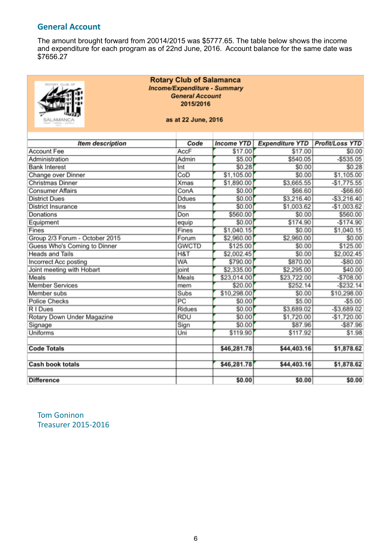# **General Account**

The amount brought forward from 20014/2015 was \$5777.65. The table below shows the income and expenditure for each program as of 22nd June, 2016. Account balance for the same date was \$7656.27

| <b>Rotary Club of Salamanca</b><br><b>Income/Expenditure - Summary</b><br><b>General Account</b><br>2015/2016<br>as at 22 June, 2016<br>SALAMANCA |                 |                   |                        |                        |  |  |
|---------------------------------------------------------------------------------------------------------------------------------------------------|-----------------|-------------------|------------------------|------------------------|--|--|
| <b>Item description</b>                                                                                                                           | Code            | <b>Income YTD</b> | <b>Expenditure YTD</b> | <b>Profit/Loss YTD</b> |  |  |
| <b>Account Fee</b>                                                                                                                                | AccF            | \$17.00           | \$17.00                | \$0.00                 |  |  |
| Administration                                                                                                                                    | Admin           | \$5.00            | \$540.05               | $-$ \$535.05           |  |  |
| <b>Bank Interest</b>                                                                                                                              | Int             | \$0.28            | \$0.00                 | \$0.28                 |  |  |
| Change over Dinner                                                                                                                                | CoD             | \$1,105.00        | \$0.00                 | \$1,105.00             |  |  |
| <b>Christmas Dinner</b>                                                                                                                           | <b>Xmas</b>     | \$1,890.00        | \$3,665.55             | $-$1,775.55$           |  |  |
| <b>Consumer Affairs</b>                                                                                                                           | ConA            | \$0.00            | \$66.60                | $-$ \$66.60            |  |  |
| <b>District Dues</b>                                                                                                                              | <b>Ddues</b>    | \$0.00            | \$3,216.40             | $-$ \$3,216.40         |  |  |
| <b>District Insurance</b>                                                                                                                         | Ins             | \$0.00            | \$1,003.62             | $-$1,003.62$           |  |  |
| Donations                                                                                                                                         | Don             | \$560.00          | \$0.00                 | \$560.00               |  |  |
| Equipment                                                                                                                                         | equip           | \$0.00            | \$174.90               | $-$174.90$             |  |  |
| Fines                                                                                                                                             | Fines           | \$1,040.15        | \$0.00                 | \$1,040.15             |  |  |
| Group 2/3 Forum - October 2015                                                                                                                    | Forum           | \$2,960.00        | \$2,960.00             | \$0.00                 |  |  |
| Guess Who's Coming to Dinner                                                                                                                      | <b>GWCTD</b>    | \$125.00          | \$0.00                 | \$125.00               |  |  |
| <b>Heads and Tails</b>                                                                                                                            | H&T             | \$2,002.45        | \$0.00                 | \$2,002.45             |  |  |
| Incorrect Acc posting                                                                                                                             | <b>WA</b>       | \$790.00          | \$870.00               | $-$ \$80.00            |  |  |
| Joint meeting with Hobart                                                                                                                         | joint           | \$2,335.00        | \$2,295.00             | \$40.00                |  |  |
| Meals                                                                                                                                             | Meals           | \$23,014.00       | \$23,722.00            | $-$708.00$             |  |  |
| <b>Member Services</b>                                                                                                                            | mem             | \$20.00           | \$252.14               | $-$ \$232.14           |  |  |
| Member subs                                                                                                                                       | Subs            | \$10,298.00       | \$0.00                 | \$10,298.00            |  |  |
| <b>Police Checks</b>                                                                                                                              | $\overline{PC}$ | \$0.00            | \$5.00                 | $-$5.00$               |  |  |
| R I Dues                                                                                                                                          | <b>Ridues</b>   | \$0.00            | \$3,689.02             | $-$ \$3,689.02         |  |  |
| Rotary Down Under Magazine                                                                                                                        | <b>RDU</b>      | \$0.00            | \$1,720.00             | $-$1,720.00$           |  |  |
| Signage                                                                                                                                           | Sign            | \$0.00            | \$87.96                | $-$ \$87.96            |  |  |
| Uniforms                                                                                                                                          | Uni             | \$119.90          | \$117.92               | \$1.98                 |  |  |
| <b>Code Totals</b>                                                                                                                                |                 | \$46,281.78       | \$44,403.16            | \$1,878.62             |  |  |
| <b>Cash book totals</b>                                                                                                                           |                 | \$46,281.78       | \$44,403.16            | \$1,878.62             |  |  |
| <b>Difference</b>                                                                                                                                 |                 | \$0.00            | \$0.00                 | \$0.00                 |  |  |

**Tom Goninon** Treasurer 2015-2016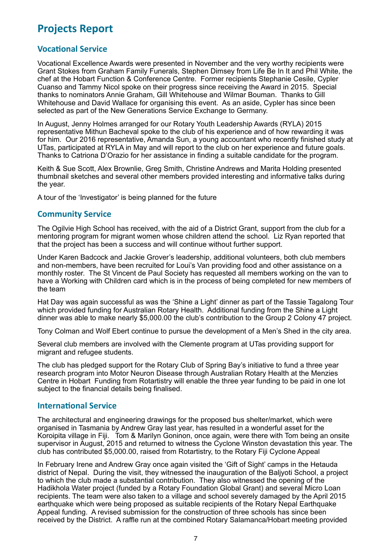# **Projects Report**

# **Vocational Service**

Vocational Excellence Awards were presented in November and the very worthy recipients were Grant Stokes from Graham Family Funerals, Stephen Dimsey from Life Be In It and Phil White, the chef at the Hobart Function & Conference Centre. Former recipients Stephanie Cesile, Cypler Cuanso and Tammy Nicol spoke on their progress since receiving the Award in 2015. Special thanks to nominators Annie Graham, Gill Whitehouse and Wilmar Bouman. Thanks to Gill Whitehouse and David Wallace for organising this event. As an aside, Cypler has since been selected as part of the New Generations Service Exchange to Germany.

In August, Jenny Holmes arranged for our Rotary Youth Leadership Awards (RYLA) 2015 representative Mithun Bacheval spoke to the club of his experience and of how rewarding it was for him. Our 2016 representative, Amanda Sun, a young accountant who recently finished study at UTas, participated at RYLA in May and will report to the club on her experience and future goals. Thanks to Catriona D'Orazio for her assistance in finding a suitable candidate for the program.

Keith & Sue Scott, Alex Brownlie, Greg Smith, Christine Andrews and Marita Holding presented thumbnail sketches and several other members provided interesting and informative talks during the year.

A tour of the 'Investigator' is being planned for the future

## **Community Service**

The Ogilvie High School has received, with the aid of a District Grant, support from the club for a mentoring program for migrant women whose children attend the school. Liz Ryan reported that that the project has been a success and will continue without further support.

Under Karen Badcock and Jackie Grover's leadership, additional volunteers, both club members and non-members, have been recruited for Loui's Van providing food and other assistance on a monthly roster. The St Vincent de Paul Society has requested all members working on the van to have a Working with Children card which is in the process of being completed for new members of the team

Hat Day was again successful as was the 'Shine a Light' dinner as part of the Tassie Tagalong Tour which provided funding for Australian Rotary Health. Additional funding from the Shine a Light dinner was able to make nearly \$5,000.00 the club's contribution to the Group 2 Colony 47 project.

Tony Colman and Wolf Ebert continue to pursue the development of a Men's Shed in the city area.

Several club members are involved with the Clemente program at UTas providing support for migrant and refugee students.

The club has pledged support for the Rotary Club of Spring Bay's initiative to fund a three year research program into Motor Neuron Disease through Australian Rotary Health at the Menzies Centre in Hobart Funding from Rotartistry will enable the three year funding to be paid in one lot subject to the financial details being finalised.

## **International Service**

The architectural and engineering drawings for the proposed bus shelter/market, which were organised in Tasmania by Andrew Gray last year, has resulted in a wonderful asset for the Koroipita village in Fiji. Tom & Marilyn Goninon, once again, were there with Tom being an onsite supervisor in August, 2015 and returned to witness the Cyclone Winston devastation this year. The club has contributed \$5,000.00, raised from Rotartistry, to the Rotary Fiji Cyclone Appeal

In February Irene and Andrew Gray once again visited the 'Gift of Sight' camps in the Hetauda district of Nepal. During the visit, they witnessed the inauguration of the Baljyoti School, a project to which the club made a substantial contribution. They also witnessed the opening of the Hadikhola Water project (funded by a Rotary Foundation Global Grant) and several Micro Loan recipients. The team were also taken to a village and school severely damaged by the April 2015 earthquake which were being proposed as suitable recipients of the Rotary Nepal Earthquake Appeal funding. A revised submission for the construction of three schools has since been received by the District. A raffle run at the combined Rotary Salamanca/Hobart meeting provided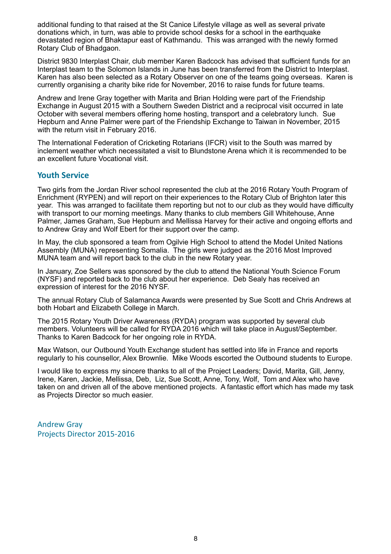additional funding to that raised at the St Canice Lifestyle village as well as several private donations which, in turn, was able to provide school desks for a school in the earthquake devastated region of Bhaktapur east of Kathmandu. This was arranged with the newly formed Rotary Club of Bhadgaon.

District 9830 Interplast Chair, club member Karen Badcock has advised that sufficient funds for an Interplast team to the Solomon Islands in June has been transferred from the District to Interplast. Karen has also been selected as a Rotary Observer on one of the teams going overseas. Karen is currently organising a charity bike ride for November, 2016 to raise funds for future teams.

Andrew and Irene Gray together with Marita and Brian Holding were part of the Friendship Exchange in August 2015 with a Southern Sweden District and a reciprocal visit occurred in late October with several members offering home hosting, transport and a celebratory lunch. Sue Hepburn and Anne Palmer were part of the Friendship Exchange to Taiwan in November, 2015 with the return visit in February 2016.

The International Federation of Cricketing Rotarians (IFCR) visit to the South was marred by inclement weather which necessitated a visit to Blundstone Arena which it is recommended to be an excellent future Vocational visit.

# **Youth Service**

Two girls from the Jordan River school represented the club at the 2016 Rotary Youth Program of Enrichment (RYPEN) and will report on their experiences to the Rotary Club of Brighton later this year. This was arranged to facilitate them reporting but not to our club as they would have difficulty with transport to our morning meetings. Many thanks to club members Gill Whitehouse, Anne Palmer, James Graham, Sue Hepburn and Mellissa Harvey for their active and ongoing efforts and to Andrew Gray and Wolf Ebert for their support over the camp.

In May, the club sponsored a team from Ogilvie High School to attend the Model United Nations Assembly (MUNA) representing Somalia. The girls were judged as the 2016 Most Improved MUNA team and will report back to the club in the new Rotary year.

In January, Zoe Sellers was sponsored by the club to attend the National Youth Science Forum (NYSF) and reported back to the club about her experience. Deb Sealy has received an expression of interest for the 2016 NYSF.

The annual Rotary Club of Salamanca Awards were presented by Sue Scott and Chris Andrews at both Hobart and Elizabeth College in March.

The 2015 Rotary Youth Driver Awareness (RYDA) program was supported by several club members. Volunteers will be called for RYDA 2016 which will take place in August/September. Thanks to Karen Badcock for her ongoing role in RYDA.

Max Watson, our Outbound Youth Exchange student has settled into life in France and reports regularly to his counsellor, Alex Brownlie. Mike Woods escorted the Outbound students to Europe.

I would like to express my sincere thanks to all of the Project Leaders; David, Marita, Gill, Jenny, Irene, Karen, Jackie, Mellissa, Deb, Liz, Sue Scott, Anne, Tony, Wolf, Tom and Alex who have taken on and driven all of the above mentioned projects. A fantastic effort which has made my task as Projects Director so much easier.

Andrew Gray Projects Director 2015-2016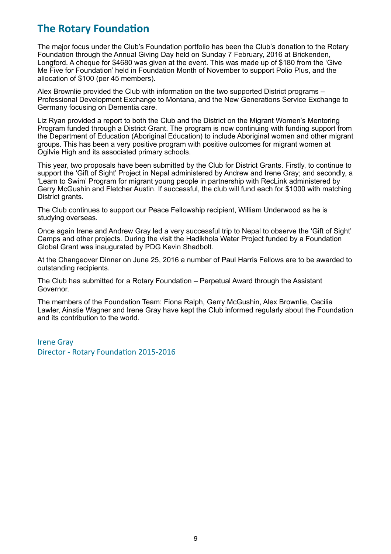# **The Rotary Foundation**

The major focus under the Club's Foundation portfolio has been the Club's donation to the Rotary Foundation through the Annual Giving Day held on Sunday 7 February, 2016 at Brickenden, Longford. A cheque for \$4680 was given at the event. This was made up of \$180 from the 'Give Me Five for Foundation' held in Foundation Month of November to support Polio Plus, and the allocation of \$100 (per 45 members).

Alex Brownlie provided the Club with information on the two supported District programs – Professional Development Exchange to Montana, and the New Generations Service Exchange to Germany focusing on Dementia care.

Liz Ryan provided a report to both the Club and the District on the Migrant Women's Mentoring Program funded through a District Grant. The program is now continuing with funding support from the Department of Education (Aboriginal Education) to include Aboriginal women and other migrant groups. This has been a very positive program with positive outcomes for migrant women at Ogilvie High and its associated primary schools.

This year, two proposals have been submitted by the Club for District Grants. Firstly, to continue to support the 'Gift of Sight' Project in Nepal administered by Andrew and Irene Gray; and secondly, a 'Learn to Swim' Program for migrant young people in partnership with RecLink administered by Gerry McGushin and Fletcher Austin. If successful, the club will fund each for \$1000 with matching District grants.

The Club continues to support our Peace Fellowship recipient, William Underwood as he is studying overseas.

Once again Irene and Andrew Gray led a very successful trip to Nepal to observe the 'Gift of Sight' Camps and other projects. During the visit the Hadikhola Water Project funded by a Foundation Global Grant was inaugurated by PDG Kevin Shadbolt.

At the Changeover Dinner on June 25, 2016 a number of Paul Harris Fellows are to be awarded to outstanding recipients.

The Club has submitted for a Rotary Foundation – Perpetual Award through the Assistant Governor.

The members of the Foundation Team: Fiona Ralph, Gerry McGushin, Alex Brownlie, Cecilia Lawler, Ainstie Wagner and Irene Gray have kept the Club informed regularly about the Foundation and its contribution to the world.

**Irene Grav** Director - Rotary Foundation 2015-2016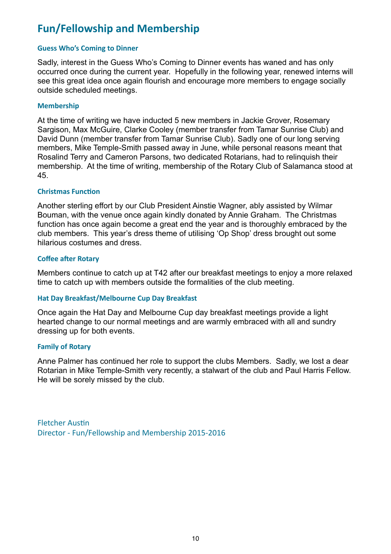# **Fun/Fellowship and Membership**

#### **Guess Who's Coming to Dinner**

Sadly, interest in the Guess Who's Coming to Dinner events has waned and has only occurred once during the current year. Hopefully in the following year, renewed interns will see this great idea once again flourish and encourage more members to engage socially outside scheduled meetings.

#### **Membership**

At the time of writing we have inducted 5 new members in Jackie Grover, Rosemary Sargison, Max McGuire, Clarke Cooley (member transfer from Tamar Sunrise Club) and David Dunn (member transfer from Tamar Sunrise Club). Sadly one of our long serving members, Mike Temple-Smith passed away in June, while personal reasons meant that Rosalind Terry and Cameron Parsons, two dedicated Rotarians, had to relinquish their membership. At the time of writing, membership of the Rotary Club of Salamanca stood at 45.

#### **Christmas Function**

Another sterling effort by our Club President Ainstie Wagner, ably assisted by Wilmar Bouman, with the venue once again kindly donated by Annie Graham. The Christmas function has once again become a great end the year and is thoroughly embraced by the club members. This year's dress theme of utilising 'Op Shop' dress brought out some hilarious costumes and dress.

#### **Coffee after Rotary**

Members continue to catch up at T42 after our breakfast meetings to enjoy a more relaxed time to catch up with members outside the formalities of the club meeting.

#### **Hat Day Breakfast/Melbourne Cup Day Breakfast**

Once again the Hat Day and Melbourne Cup day breakfast meetings provide a light hearted change to our normal meetings and are warmly embraced with all and sundry dressing up for both events.

#### **Family of Rotary**

Anne Palmer has continued her role to support the clubs Members. Sadly, we lost a dear Rotarian in Mike Temple-Smith very recently, a stalwart of the club and Paul Harris Fellow. He will be sorely missed by the club.

**Fletcher Austin** Director - Fun/Fellowship and Membership 2015-2016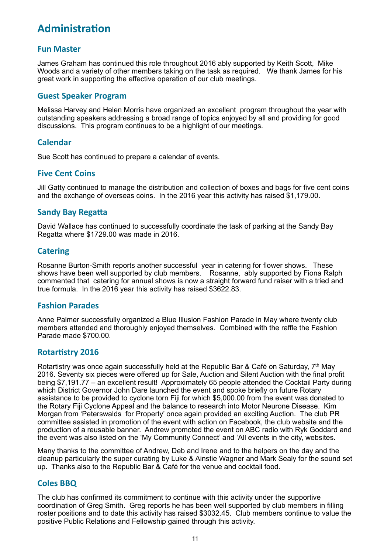# **Administration**

# **Fun Master**

James Graham has continued this role throughout 2016 ably supported by Keith Scott, Mike Woods and a variety of other members taking on the task as required. We thank James for his great work in supporting the effective operation of our club meetings.

## **Guest Speaker Program**

Melissa Harvey and Helen Morris have organized an excellent program throughout the year with outstanding speakers addressing a broad range of topics enjoyed by all and providing for good discussions. This program continues to be a highlight of our meetings.

## **Calendar**

Sue Scott has continued to prepare a calendar of events.

#### **Five Cent Coins**

Jill Gatty continued to manage the distribution and collection of boxes and bags for five cent coins and the exchange of overseas coins. In the 2016 year this activity has raised \$1,179.00.

## **Sandy Bay Regatta**

David Wallace has continued to successfully coordinate the task of parking at the Sandy Bay Regatta where \$1729.00 was made in 2016.

#### **Catering**

Rosanne Burton-Smith reports another successful year in catering for flower shows. These shows have been well supported by club members. Rosanne, ably supported by Fiona Ralph commented that catering for annual shows is now a straight forward fund raiser with a tried and true formula. In the 2016 year this activity has raised \$3622.83.

#### **Fashion Parades**

Anne Palmer successfully organized a Blue Illusion Fashion Parade in May where twenty club members attended and thoroughly enjoyed themselves. Combined with the raffle the Fashion Parade made \$700.00.

#### **Rotartistry 2016**

Rotartistry was once again successfully held at the Republic Bar & Café on Saturday, 7<sup>th</sup> May 2016. Seventy six pieces were offered up for Sale, Auction and Silent Auction with the final profit being \$7,191.77 – an excellent result! Approximately 65 people attended the Cocktail Party during which District Governor John Dare launched the event and spoke briefly on future Rotary assistance to be provided to cyclone torn Fiji for which \$5,000.00 from the event was donated to the Rotary Fiji Cyclone Appeal and the balance to research into Motor Neurone Disease. Kim Morgan from 'Peterswalds for Property' once again provided an exciting Auction. The club PR committee assisted in promotion of the event with action on Facebook, the club website and the production of a reusable banner. Andrew promoted the event on ABC radio with Ryk Goddard and the event was also listed on the 'My Community Connect' and 'All events in the city, websites.

Many thanks to the committee of Andrew, Deb and Irene and to the helpers on the day and the cleanup particularly the super curating by Luke & Ainstie Wagner and Mark Sealy for the sound set up. Thanks also to the Republic Bar & Café for the venue and cocktail food.

## **Coles BBQ**

The club has confirmed its commitment to continue with this activity under the supportive coordination of Greg Smith. Greg reports he has been well supported by club members in filling roster positions and to date this activity has raised \$3032.45. Club members continue to value the positive Public Relations and Fellowship gained through this activity.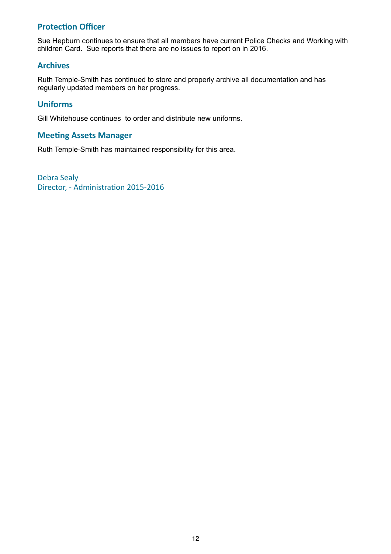# **Protection Officer**

Sue Hepburn continues to ensure that all members have current Police Checks and Working with children Card. Sue reports that there are no issues to report on in 2016.

# **Archives**

Ruth Temple-Smith has continued to store and properly archive all documentation and has regularly updated members on her progress.

## **Uniforms**

Gill Whitehouse continues to order and distribute new uniforms.

# **Meeting Assets Manager**

Ruth Temple-Smith has maintained responsibility for this area.

Debra Sealy Director, - Administration 2015-2016